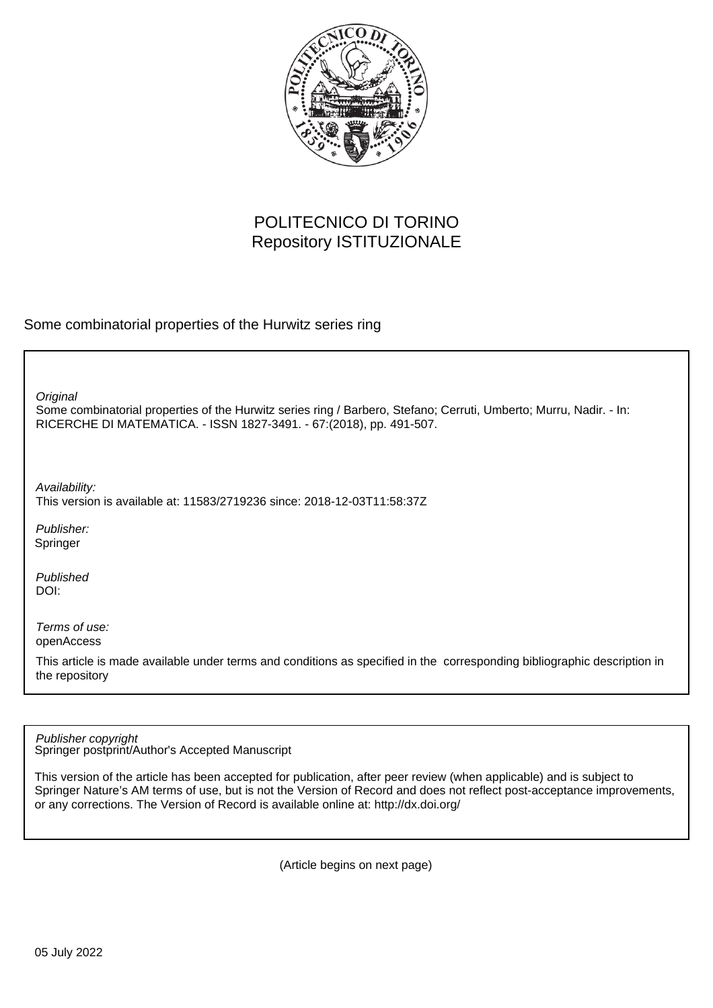

# POLITECNICO DI TORINO Repository ISTITUZIONALE

Some combinatorial properties of the Hurwitz series ring

**Original** 

Some combinatorial properties of the Hurwitz series ring / Barbero, Stefano; Cerruti, Umberto; Murru, Nadir. - In: RICERCHE DI MATEMATICA. - ISSN 1827-3491. - 67:(2018), pp. 491-507.

Availability: This version is available at: 11583/2719236 since: 2018-12-03T11:58:37Z

Publisher: Springer

Published DOI:

Terms of use: openAccess

This article is made available under terms and conditions as specified in the corresponding bibliographic description in the repository

Publisher copyright

Springer postprint/Author's Accepted Manuscript

This version of the article has been accepted for publication, after peer review (when applicable) and is subject to Springer Nature's AM terms of use, but is not the Version of Record and does not reflect post-acceptance improvements, or any corrections. The Version of Record is available online at: http://dx.doi.org/

(Article begins on next page)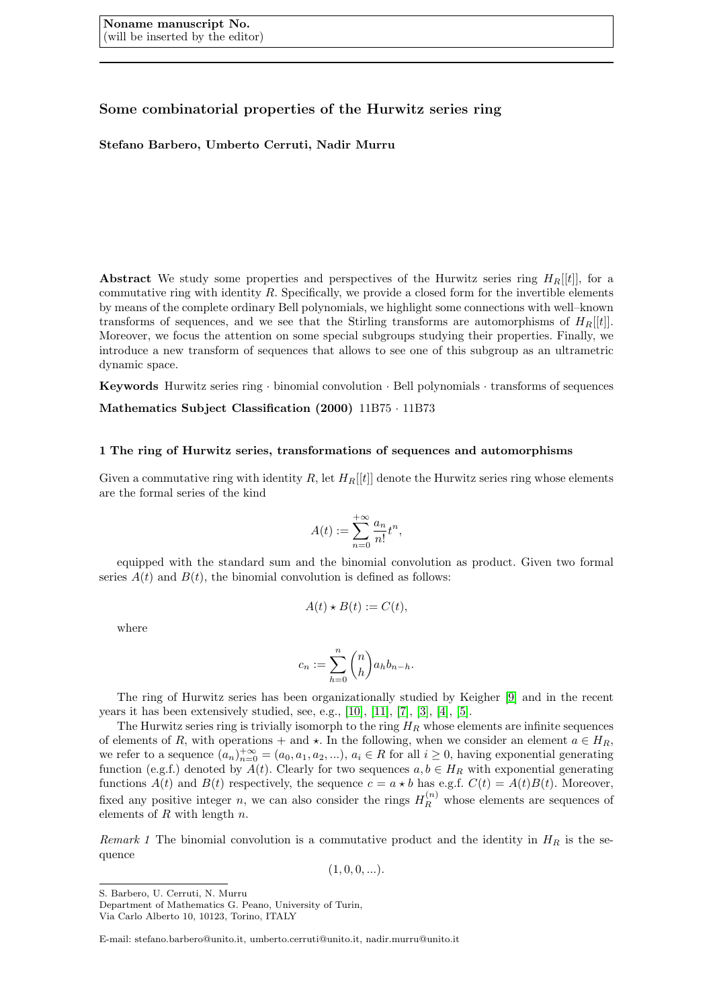### Some combinatorial properties of the Hurwitz series ring

#### Stefano Barbero, Umberto Cerruti, Nadir Murru

Abstract We study some properties and perspectives of the Hurwitz series ring  $H_R[[t]]$ , for a commutative ring with identity  $R$ . Specifically, we provide a closed form for the invertible elements by means of the complete ordinary Bell polynomials, we highlight some connections with well–known transforms of sequences, and we see that the Stirling transforms are automorphisms of  $H_R[[t]]$ . Moreover, we focus the attention on some special subgroups studying their properties. Finally, we introduce a new transform of sequences that allows to see one of this subgroup as an ultrametric dynamic space.

Keywords Hurwitz series ring · binomial convolution · Bell polynomials · transforms of sequences Mathematics Subject Classification (2000) 11B75 · 11B73

#### 1 The ring of Hurwitz series, transformations of sequences and automorphisms

Given a commutative ring with identity R, let  $H_R[[t]]$  denote the Hurwitz series ring whose elements are the formal series of the kind

$$
A(t):=\sum_{n=0}^{+\infty}\frac{a_n}{n!}t^n,
$$

equipped with the standard sum and the binomial convolution as product. Given two formal series  $A(t)$  and  $B(t)$ , the binomial convolution is defined as follows:

$$
A(t) \star B(t) := C(t),
$$

where

$$
c_n := \sum_{h=0}^n \binom{n}{h} a_h b_{n-h}.
$$

The ring of Hurwitz series has been organizationally studied by Keigher [9] and in the recent years it has been extensively studied, see, e.g., [10], [11], [7], [3], [4], [5].

The Hurwitz series ring is trivially isomorph to the ring  $H_R$  whose elements are infinite sequences of elements of R, with operations + and  $\star$ . In the following, when we consider an element  $a \in H_R$ , we refer to a sequence  $(a_n)_{n=0}^{+\infty} = (a_0, a_1, a_2, \ldots), a_i \in R$  for all  $i \geq 0$ , having exponential generating function (e.g.f.) denoted by  $A(t)$ . Clearly for two sequences  $a, b \in H_R$  with exponential generating functions  $A(t)$  and  $B(t)$  respectively, the sequence  $c = a * b$  has e.g.f.  $C(t) = A(t)B(t)$ . Moreover, fixed any positive integer n, we can also consider the rings  $H_R^{(n)}$  whose elements are sequences of elements of  $R$  with length  $n$ .

Remark 1 The binomial convolution is a commutative product and the identity in  $H_R$  is the sequence

 $(1, 0, 0, ...)$ .

S. Barbero, U. Cerruti, N. Murru

Department of Mathematics G. Peano, University of Turin,

Via Carlo Alberto 10, 10123, Torino, ITALY

E-mail: stefano.barbero@unito.it, umberto.cerruti@unito.it, nadir.murru@unito.it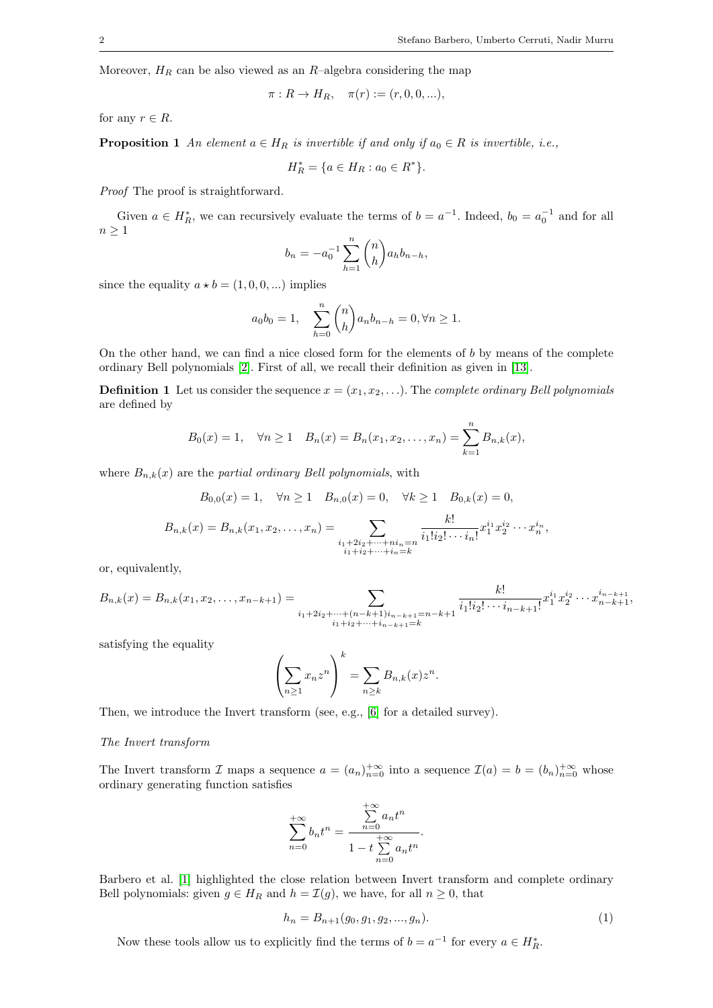,

Moreover,  $H_R$  can be also viewed as an  $R$ –algebra considering the map

$$
\pi: R \to H_R
$$
,  $\pi(r) := (r, 0, 0, ...),$ 

for any  $r \in R$ .

**Proposition 1** An element  $a \in H_R$  is invertible if and only if  $a_0 \in R$  is invertible, i.e.,

$$
H_R^* = \{ a \in H_R : a_0 \in R^* \}.
$$

Proof The proof is straightforward.

Given  $a \in H_R^*$ , we can recursively evaluate the terms of  $b = a^{-1}$ . Indeed,  $b_0 = a_0^{-1}$  and for all  $n \geq 1$ 

$$
b_n = -a_0^{-1} \sum_{h=1}^n \binom{n}{h} a_h b_{n-h},
$$

since the equality  $a \star b = (1, 0, 0, ...)$  implies

$$
a_0b_0 = 1
$$
, 
$$
\sum_{h=0}^{n} {n \choose h} a_n b_{n-h} = 0, \forall n \ge 1.
$$

On the other hand, we can find a nice closed form for the elements of  $b$  by means of the complete ordinary Bell polynomials [2]. First of all, we recall their definition as given in [13].

**Definition 1** Let us consider the sequence  $x = (x_1, x_2, \ldots)$ . The *complete ordinary Bell polynomials* are defined by

$$
B_0(x) = 1
$$
,  $\forall n \ge 1$   $B_n(x) = B_n(x_1, x_2, ..., x_n) = \sum_{k=1}^n B_{n,k}(x)$ ,

where  $B_{n,k}(x)$  are the partial ordinary Bell polynomials, with

$$
B_{0,0}(x) = 1, \quad \forall n \ge 1 \quad B_{n,0}(x) = 0, \quad \forall k \ge 1 \quad B_{0,k}(x) = 0,
$$
  

$$
B_{n,k}(x) = B_{n,k}(x_1, x_2, \dots, x_n) = \sum_{\substack{i_1 + 2i_2 + \dots + ni_n = n \\ i_1 + i_2 + \dots + i_n = k}} \frac{k!}{i_1! i_2! \cdots i_n!} x_1^{i_1} x_2^{i_2} \cdots x_n^{i_n}
$$

or, equivalently,

$$
B_{n,k}(x) = B_{n,k}(x_1, x_2, \dots, x_{n-k+1}) = \sum_{\substack{i_1 + 2i_2 + \dots + (n-k+1)i_{n-k+1} = n-k+1 \ i_1 + i_2 + \dots + i_{n-k+1} = k}} \frac{k!}{i_1! i_2! \cdots i_{n-k+1}!} x_1^{i_1} x_2^{i_2} \cdots x_{n-k+1}^{i_{n-k+1}},
$$

satisfying the equality

$$
\left(\sum_{n\geq 1}x_nz^n\right)^k=\sum_{n\geq k}B_{n,k}(x)z^n.
$$

Then, we introduce the Invert transform (see, e.g., [6] for a detailed survey).

#### The Invert transform

The Invert transform I maps a sequence  $a = (a_n)_{n=0}^{+\infty}$  into a sequence  $\mathcal{I}(a) = b = (b_n)_{n=0}^{+\infty}$  whose ordinary generating function satisfies

$$
\sum_{n=0}^{+\infty} b_n t^n = \frac{\sum_{n=0}^{+\infty} a_n t^n}{1 - t \sum_{n=0}^{+\infty} a_n t^n}.
$$

Barbero et al. [1] highlighted the close relation between Invert transform and complete ordinary Bell polynomials: given  $g \in H_R$  and  $h = \mathcal{I}(g)$ , we have, for all  $n \geq 0$ , that

$$
h_n = B_{n+1}(g_0, g_1, g_2, \dots, g_n). \tag{1}
$$

Now these tools allow us to explicitly find the terms of  $b = a^{-1}$  for every  $a \in H_R^*$ .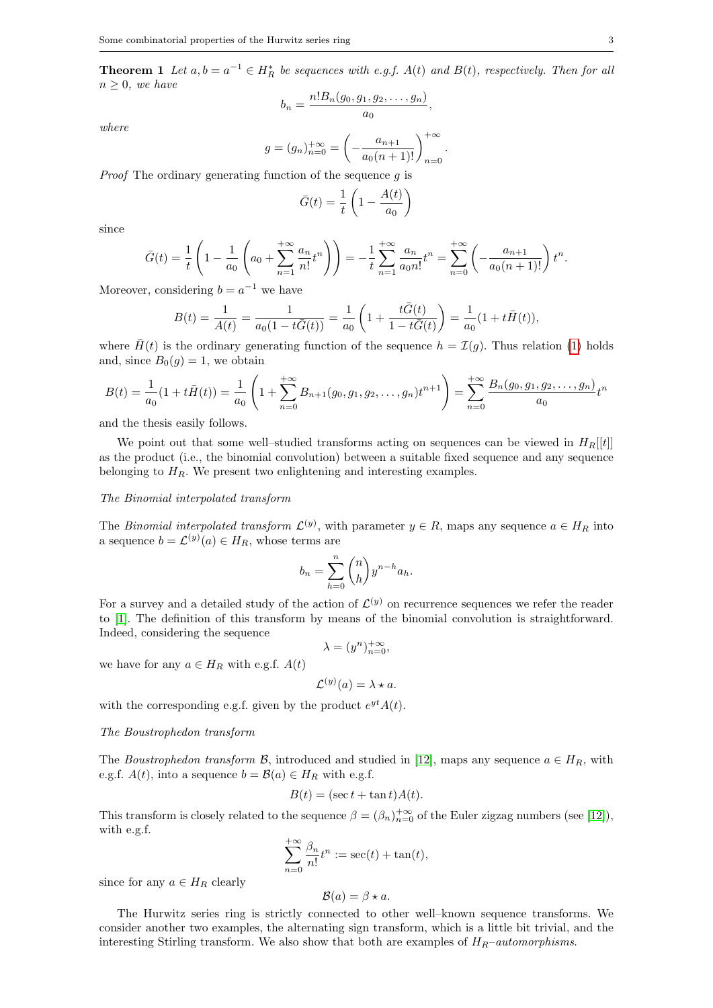**Theorem 1** Let  $a, b = a^{-1} \in H_R^*$  be sequences with e.g.f.  $A(t)$  and  $B(t)$ , respectively. Then for all  $n > 0$ , we have

$$
b_n=\frac{n!B_n(g_0,g_1,g_2,\ldots,g_n)}{a_0},
$$

where

$$
g = (g_n)_{n=0}^{+\infty} = \left(-\frac{a_{n+1}}{a_0(n+1)!}\right)_{n=0}^{+\infty}.
$$

*Proof* The ordinary generating function of the sequence  $q$  is

$$
\bar{G}(t) = \frac{1}{t} \left( 1 - \frac{A(t)}{a_0} \right)
$$

since

$$
\bar{G}(t) = \frac{1}{t} \left( 1 - \frac{1}{a_0} \left( a_0 + \sum_{n=1}^{+\infty} \frac{a_n}{n!} t^n \right) \right) = -\frac{1}{t} \sum_{n=1}^{+\infty} \frac{a_n}{a_0 n!} t^n = \sum_{n=0}^{+\infty} \left( -\frac{a_{n+1}}{a_0 (n+1)!} \right) t^n.
$$

Moreover, considering  $b = a^{-1}$  we have

$$
B(t) = \frac{1}{A(t)} = \frac{1}{a_0(1 - t\bar{G}(t))} = \frac{1}{a_0} \left( 1 + \frac{t\bar{G}(t)}{1 - t\bar{G}(t)} \right) = \frac{1}{a_0}(1 + t\bar{H}(t)),
$$

where  $\bar{H}(t)$  is the ordinary generating function of the sequence  $h = \mathcal{I}(g)$ . Thus relation (1) holds and, since  $B_0(g) = 1$ , we obtain

$$
B(t) = \frac{1}{a_0}(1 + t\bar{H}(t)) = \frac{1}{a_0}\left(1 + \sum_{n=0}^{+\infty} B_{n+1}(g_0, g_1, g_2, \dots, g_n)t^{n+1}\right) = \sum_{n=0}^{+\infty} \frac{B_n(g_0, g_1, g_2, \dots, g_n)}{a_0}t^n
$$

and the thesis easily follows.

We point out that some well–studied transforms acting on sequences can be viewed in  $H_R[[t]]$ as the product (i.e., the binomial convolution) between a suitable fixed sequence and any sequence belonging to  $H_R$ . We present two enlightening and interesting examples.

#### The Binomial interpolated transform

The *Binomial interpolated transform*  $\mathcal{L}^{(y)}$ , with parameter  $y \in R$ , maps any sequence  $a \in H_R$  into a sequence  $b = \mathcal{L}^{(y)}(a) \in H_R$ , whose terms are

$$
b_n = \sum_{h=0}^n \binom{n}{h} y^{n-h} a_h.
$$

For a survey and a detailed study of the action of  $\mathcal{L}^{(y)}$  on recurrence sequences we refer the reader to [1]. The definition of this transform by means of the binomial convolution is straightforward. Indeed, considering the sequence

$$
\lambda = (y^n)_{n=0}^{+\infty},
$$

we have for any  $a \in H_R$  with e.g.f.  $A(t)$ 

$$
\mathcal{L}^{(y)}(a) = \lambda \star a.
$$

with the corresponding e.g.f. given by the product  $e^{yt}A(t)$ .

#### The Boustrophedon transform

The Boustrophedon transform B, introduced and studied in [12], maps any sequence  $a \in H_R$ , with e.g.f.  $A(t)$ , into a sequence  $b = \mathcal{B}(a) \in H_R$  with e.g.f.

$$
B(t) = (\sec t + \tan t)A(t).
$$

This transform is closely related to the sequence  $\beta = (\beta_n)_{n=0}^{+\infty}$  of the Euler zigzag numbers (see [12]), with e.g.f.

$$
\sum_{n=0}^{+\infty} \frac{\beta_n}{n!} t^n := \sec(t) + \tan(t),
$$

since for any  $a \in H_R$  clearly

$$
\mathcal{B}(a) = \beta \star a.
$$

The Hurwitz series ring is strictly connected to other well–known sequence transforms. We consider another two examples, the alternating sign transform, which is a little bit trivial, and the interesting Stirling transform. We also show that both are examples of  $H_R$ –automorphisms.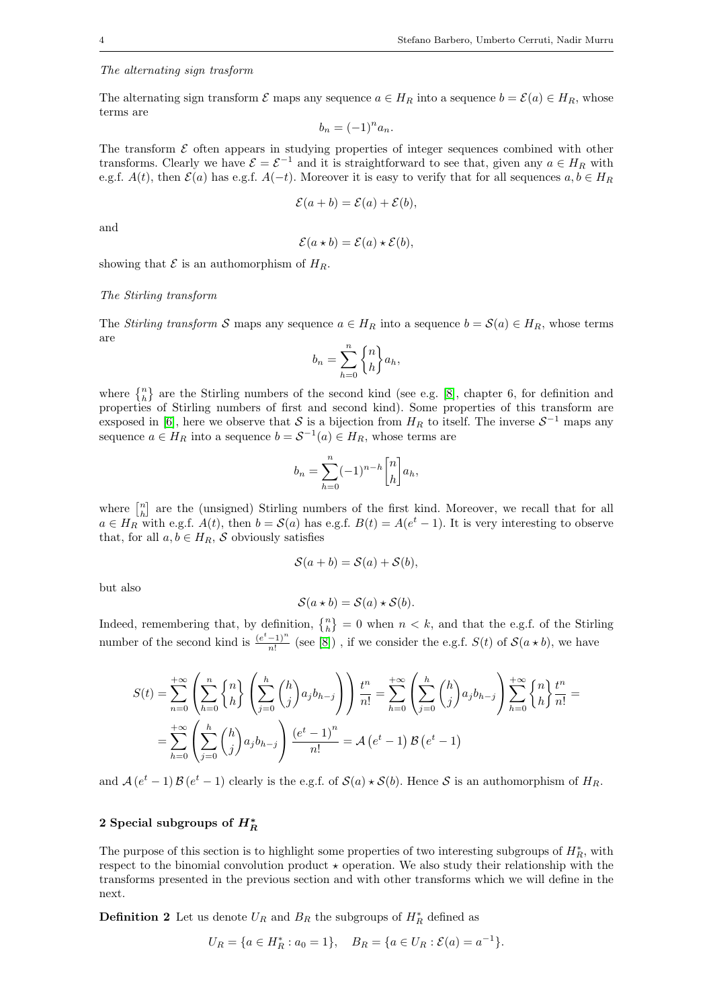#### The alternating sign trasform

The alternating sign transform  $\mathcal E$  maps any sequence  $a \in H_R$  into a sequence  $b = \mathcal E(a) \in H_R$ , whose terms are

$$
b_n = (-1)^n a_n.
$$

The transform  $\mathcal E$  often appears in studying properties of integer sequences combined with other transforms. Clearly we have  $\mathcal{E} = \mathcal{E}^{-1}$  and it is straightforward to see that, given any  $a \in H_R$  with e.g.f.  $A(t)$ , then  $\mathcal{E}(a)$  has e.g.f.  $A(-t)$ . Moreover it is easy to verify that for all sequences  $a, b \in H_R$ 

$$
\mathcal{E}(a+b) = \mathcal{E}(a) + \mathcal{E}(b),
$$

and

$$
\mathcal{E}(a \star b) = \mathcal{E}(a) \star \mathcal{E}(b),
$$

showing that  $\mathcal E$  is an authomorphism of  $H_R$ .

#### The Stirling transform

The Stirling transform S maps any sequence  $a \in H_R$  into a sequence  $b = S(a) \in H_R$ , whose terms are

$$
b_n = \sum_{h=0}^n \begin{Bmatrix} n \\ h \end{Bmatrix} a_h,
$$

where  $\{n\}\$ are the Stirling numbers of the second kind (see e.g. [8], chapter 6, for definition and properties of Stirling numbers of first and second kind). Some properties of this transform are exsposed in [6], here we observe that S is a bijection from  $H_R$  to itself. The inverse  $S^{-1}$  maps any sequence  $a \in H_R$  into a sequence  $b = \mathcal{S}^{-1}(a) \in H_R$ , whose terms are

$$
b_n = \sum_{h=0}^n (-1)^{n-h} \begin{bmatrix} n \\ h \end{bmatrix} a_h,
$$

where  $\begin{bmatrix} n \\ h \end{bmatrix}$  are the (unsigned) Stirling numbers of the first kind. Moreover, we recall that for all  $a \in H_R$  with e.g.f.  $A(t)$ , then  $b = \mathcal{S}(a)$  has e.g.f.  $B(t) = A(e^t - 1)$ . It is very interesting to observe that, for all  $a, b \in H_R$ , S obviously satisfies

$$
\mathcal{S}(a+b) = \mathcal{S}(a) + \mathcal{S}(b),
$$

but also

$$
\mathcal{S}(a \star b) = \mathcal{S}(a) \star \mathcal{S}(b).
$$

Indeed, remembering that, by definition,  $\{n\} = 0$  when  $n < k$ , and that the e.g.f. of the Stirling number of the second kind is  $\frac{(e^t-1)^n}{n!}$  $\frac{(-1)^n}{n!}$  (see [8]), if we consider the e.g.f.  $S(t)$  of  $\mathcal{S}(a \star b)$ , we have

$$
S(t) = \sum_{n=0}^{+\infty} \left( \sum_{h=0}^{n} \begin{Bmatrix} n \\ h \end{Bmatrix} \left( \sum_{j=0}^{h} \binom{h}{j} a_j b_{h-j} \right) \right) \frac{t^n}{n!} = \sum_{h=0}^{+\infty} \left( \sum_{j=0}^{h} \binom{h}{j} a_j b_{h-j} \right) \sum_{h=0}^{+\infty} \begin{Bmatrix} n \\ h \end{Bmatrix} \frac{t^n}{n!} =
$$

$$
= \sum_{h=0}^{+\infty} \left( \sum_{j=0}^{h} \binom{h}{j} a_j b_{h-j} \right) \frac{(e^t - 1)^n}{n!} = A(e^t - 1) B(e^t - 1)
$$

and  $\mathcal{A}(e^t-1)\mathcal{B}(e^t-1)$  clearly is the e.g.f. of  $\mathcal{S}(a) \star \mathcal{S}(b)$ . Hence S is an authomorphism of  $H_R$ .

## 2 Special subgroups of  $H^{\ast}_R$

The purpose of this section is to highlight some properties of two interesting subgroups of  $H_R^*$ , with respect to the binomial convolution product  $\star$  operation. We also study their relationship with the transforms presented in the previous section and with other transforms which we will define in the next.

**Definition 2** Let us denote  $U_R$  and  $B_R$  the subgroups of  $H_R^*$  defined as

$$
U_R = \{a \in H_R^* : a_0 = 1\}, \quad B_R = \{a \in U_R : \mathcal{E}(a) = a^{-1}\}.
$$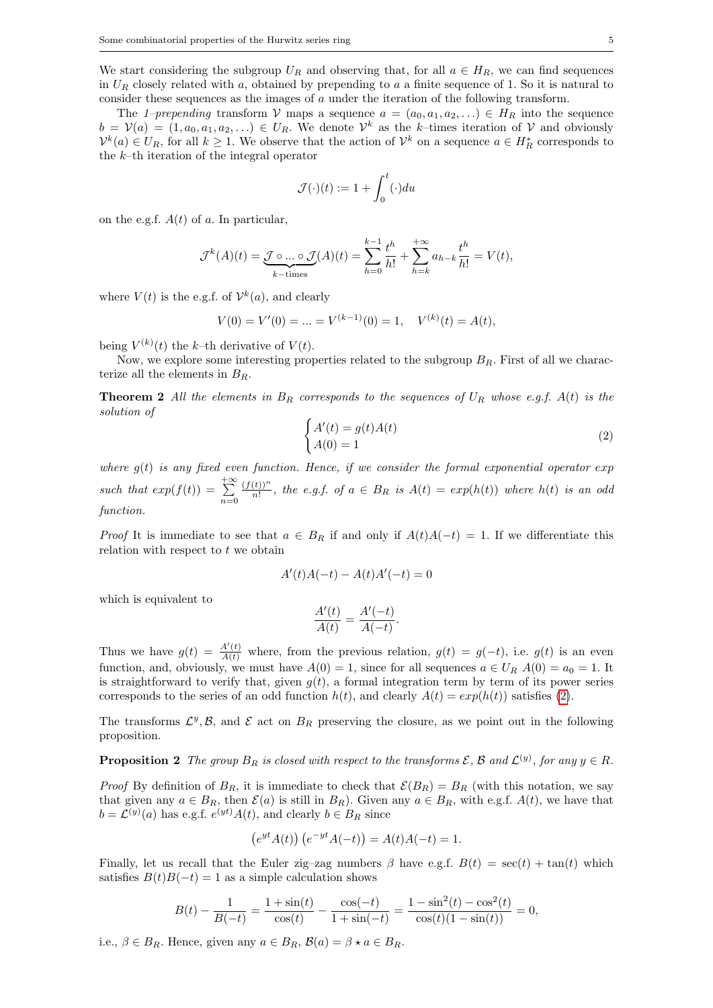We start considering the subgroup  $U_R$  and observing that, for all  $a \in H_R$ , we can find sequences in  $U_R$  closely related with a, obtained by prepending to a a finite sequence of 1. So it is natural to consider these sequences as the images of a under the iteration of the following transform.

The 1–prepending transform V maps a sequence  $a = (a_0, a_1, a_2, \ldots) \in H_R$  into the sequence  $b = V(a) = (1, a_0, a_1, a_2, \ldots) \in U_R$ . We denote  $\mathcal{V}^k$  as the k-times iteration of V and obviously  $\mathcal{V}^k(a) \in U_R$ , for all  $k \geq 1$ . We observe that the action of  $\mathcal{V}^k$  on a sequence  $a \in H_R^*$  corresponds to the k–th iteration of the integral operator

$$
\mathcal{J}(\cdot)(t) := 1 + \int_0^t (\cdot) du
$$

on the e.g.f.  $A(t)$  of a. In particular,

$$
\mathcal{J}^k(A)(t) = \underbrace{\mathcal{J} \circ \dots \circ \mathcal{J}}_{k-\text{times}}(A)(t) = \sum_{h=0}^{k-1} \frac{t^h}{h!} + \sum_{h=k}^{+\infty} a_{h-k} \frac{t^h}{h!} = V(t),
$$

where  $V(t)$  is the e.g.f. of  $\mathcal{V}^k(a)$ , and clearly

$$
V(0) = V'(0) = \dots = V^{(k-1)}(0) = 1, \quad V^{(k)}(t) = A(t),
$$

being  $V^{(k)}(t)$  the k-th derivative of  $V(t)$ .

Now, we explore some interesting properties related to the subgroup  $B_R$ . First of all we characterize all the elements in  $B_R$ .

**Theorem 2** All the elements in  $B_R$  corresponds to the sequences of  $U_R$  whose e.g.f.  $A(t)$  is the solution of

$$
\begin{cases} A'(t) = g(t)A(t) \\ A(0) = 1 \end{cases}
$$
\n(2)

where  $q(t)$  is any fixed even function. Hence, if we consider the formal exponential operator exp such that  $exp(f(t)) = \sum_{ }^{+\infty}$  $n=0$  $(f(t))^n$  $\frac{(t))^{n}}{n!}$ , the e.g.f. of  $a \in B_R$  is  $A(t) = exp(h(t))$  where  $h(t)$  is an odd function.

*Proof* It is immediate to see that  $a \in B_R$  if and only if  $A(t)A(-t) = 1$ . If we differentiate this relation with respect to  $t$  we obtain

$$
A'(t)A(-t) - A(t)A'(-t) = 0
$$

which is equivalent to

$$
\frac{A'(t)}{A(t)} = \frac{A'(-t)}{A(-t)}.
$$

Thus we have  $g(t) = \frac{A'(t)}{A(t)}$  where, from the previous relation,  $g(t) = g(-t)$ , i.e.  $g(t)$  is an even function, and, obviously, we must have  $A(0) = 1$ , since for all sequences  $a \in U_R$ ,  $A(0) = a_0 = 1$ . It is straightforward to verify that, given  $g(t)$ , a formal integration term by term of its power series corresponds to the series of an odd function  $h(t)$ , and clearly  $A(t) = exp(h(t))$  satisfies (2).

The transforms  $\mathcal{L}^y$ ,  $\mathcal{B}$ , and  $\mathcal E$  act on  $B_R$  preserving the closure, as we point out in the following proposition.

**Proposition 2** The group  $B_R$  is closed with respect to the transforms  $\mathcal{E}, \mathcal{B}$  and  $\mathcal{L}^{(y)}$ , for any  $y \in R$ .

*Proof* By definition of  $B_R$ , it is immediate to check that  $\mathcal{E}(B_R) = B_R$  (with this notation, we say that given any  $a \in B_R$ , then  $\mathcal{E}(a)$  is still in  $B_R$ ). Given any  $a \in B_R$ , with e.g.f.  $A(t)$ , we have that  $b = \mathcal{L}^{(y)}(a)$  has e.g.f.  $e^{(yt)}A(t)$ , and clearly  $b \in B_R$  since

$$
(e^{yt}A(t)) (e^{-yt}A(-t)) = A(t)A(-t) = 1.
$$

Finally, let us recall that the Euler zig–zag numbers  $\beta$  have e.g.f.  $B(t) = \sec(t) + \tan(t)$  which satisfies  $B(t)B(-t) = 1$  as a simple calculation shows

$$
B(t) - \frac{1}{B(-t)} = \frac{1 + \sin(t)}{\cos(t)} - \frac{\cos(-t)}{1 + \sin(-t)} = \frac{1 - \sin^2(t) - \cos^2(t)}{\cos(t)(1 - \sin(t))} = 0,
$$

i.e.,  $\beta \in B_R$ . Hence, given any  $a \in B_R$ ,  $\mathcal{B}(a) = \beta \star a \in B_R$ .

 $\overline{\phantom{a}}$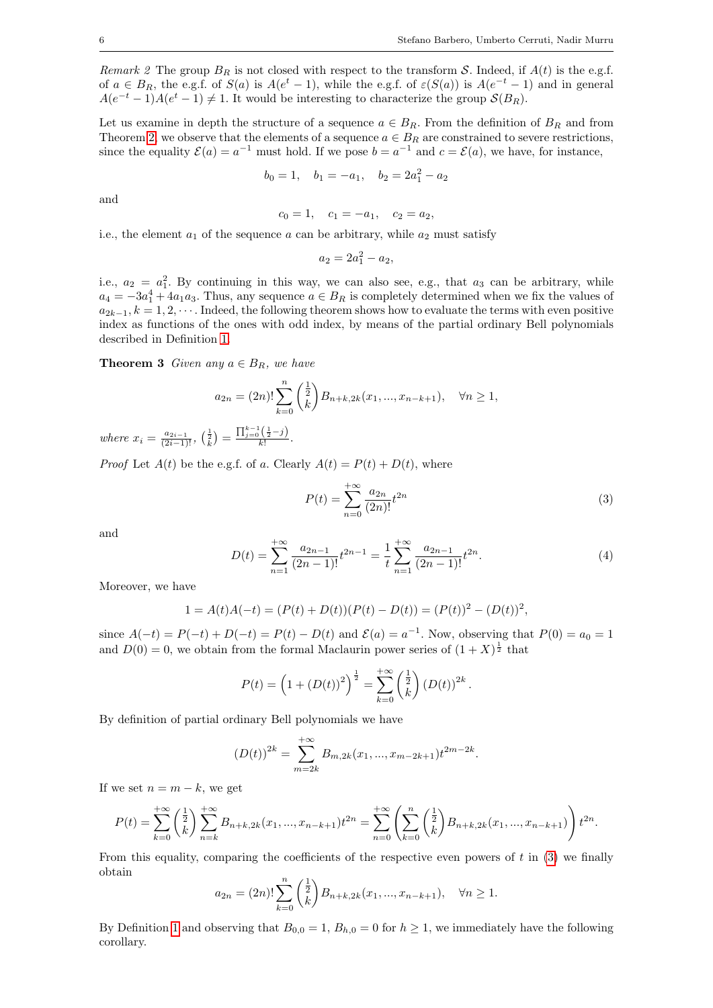Remark 2 The group  $B_R$  is not closed with respect to the transform S. Indeed, if  $A(t)$  is the e.g.f. of  $a \in B_R$ , the e.g.f. of  $S(a)$  is  $A(e^t - 1)$ , while the e.g.f. of  $\varepsilon(S(a))$  is  $A(e^{-t} - 1)$  and in general  $A(e^{-t}-1)A(e^{t}-1) \neq 1$ . It would be interesting to characterize the group  $\mathcal{S}(B_R)$ .

Let us examine in depth the structure of a sequence  $a \in B_R$ . From the definition of  $B_R$  and from Theorem 2, we observe that the elements of a sequence  $a \in B_R$  are constrained to severe restrictions, since the equality  $\mathcal{E}(a) = a^{-1}$  must hold. If we pose  $b = a^{-1}$  and  $c = \mathcal{E}(a)$ , we have, for instance,

$$
b_0 = 1, \quad b_1 = -a_1, \quad b_2 = 2a_1^2 - a_2
$$

and

$$
c_0 = 1, \quad c_1 = -a_1, \quad c_2 = a_2,
$$

i.e., the element  $a_1$  of the sequence a can be arbitrary, while  $a_2$  must satisfy

$$
a_2 = 2a_1^2 - a_2,
$$

i.e.,  $a_2 = a_1^2$ . By continuing in this way, we can also see, e.g., that  $a_3$  can be arbitrary, while  $a_4 = -3a_1^4 + 4a_1a_3$ . Thus, any sequence  $a \in B_R$  is completely determined when we fix the values of  $a_{2k-1}, k = 1, 2, \cdots$ . Indeed, the following theorem shows how to evaluate the terms with even positive index as functions of the ones with odd index, by means of the partial ordinary Bell polynomials described in Definition 1.

**Theorem 3** Given any  $a \in B_R$ , we have

$$
a_{2n} = (2n)! \sum_{k=0}^{n} \binom{\frac{1}{2}}{k} B_{n+k,2k}(x_1, ..., x_{n-k+1}), \quad \forall n \ge 1,
$$

where  $x_i = \frac{a_{2i-1}}{(2i-1)!}$ ,  $\left(\frac{1}{k}\right) = \frac{\prod_{j=0}^{k-1} \left(\frac{1}{2} - j\right)}{k!}$ .

*Proof* Let  $A(t)$  be the e.g.f. of a. Clearly  $A(t) = P(t) + D(t)$ , where

$$
P(t) = \sum_{n=0}^{+\infty} \frac{a_{2n}}{(2n)!} t^{2n}
$$
 (3)

and

$$
D(t) = \sum_{n=1}^{+\infty} \frac{a_{2n-1}}{(2n-1)!} t^{2n-1} = \frac{1}{t} \sum_{n=1}^{+\infty} \frac{a_{2n-1}}{(2n-1)!} t^{2n}.
$$
 (4)

Moreover, we have

$$
1 = A(t)A(-t) = (P(t) + D(t))(P(t) - D(t)) = (P(t))^{2} - (D(t))^{2},
$$

since  $A(-t) = P(-t) + D(-t) = P(t) - D(t)$  and  $\mathcal{E}(a) = a^{-1}$ . Now, observing that  $P(0) = a_0 = 1$ and  $D(0) = 0$ , we obtain from the formal Maclaurin power series of  $(1 + X)^{\frac{1}{2}}$  that

$$
P(t) = \left(1 + (D(t))^{2}\right)^{\frac{1}{2}} = \sum_{k=0}^{+\infty} \left(\frac{\frac{1}{2}}{k}\right) (D(t))^{2k}.
$$

By definition of partial ordinary Bell polynomials we have

$$
(D(t))^{2k} = \sum_{m=2k}^{+\infty} B_{m,2k}(x_1,...,x_{m-2k+1}) t^{2m-2k}.
$$

If we set  $n = m - k$ , we get

$$
P(t) = \sum_{k=0}^{+\infty} \binom{\frac{1}{2}}{k} \sum_{n=k}^{+\infty} B_{n+k,2k}(x_1,...,x_{n-k+1}) t^{2n} = \sum_{n=0}^{+\infty} \left( \sum_{k=0}^{n} \binom{\frac{1}{2}}{k} B_{n+k,2k}(x_1,...,x_{n-k+1}) \right) t^{2n}.
$$

From this equality, comparing the coefficients of the respective even powers of  $t$  in (3) we finally obtain

$$
a_{2n} = (2n)! \sum_{k=0}^{n} \binom{\frac{1}{2}}{k} B_{n+k,2k}(x_1, ..., x_{n-k+1}), \quad \forall n \ge 1.
$$

By Definition 1 and observing that  $B_{0,0} = 1$ ,  $B_{h,0} = 0$  for  $h \ge 1$ , we immediately have the following corollary.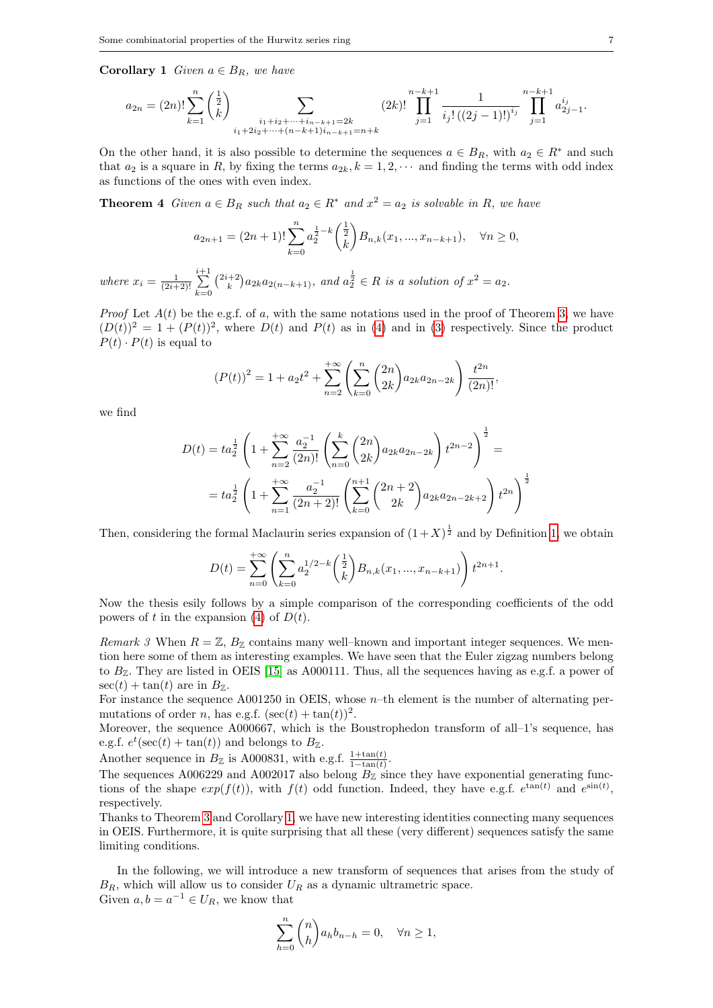**Corollary 1** Given  $a \in B_R$ , we have

$$
a_{2n} = (2n)! \sum_{k=1}^{n} \binom{\frac{1}{2}}{k} \sum_{\substack{i_1+i_2+\cdots+i_{n-k+1}=2k \ i_1+2i_2+\cdots+(n-k+1)i_{n-k+1}=n+k}} (2k)! \prod_{j=1}^{n-k+1} \frac{1}{i_j! \left( (2j-1)!\right)^{i_j}} \prod_{j=1}^{n-k+1} a_{2j-1}^{i_j}.
$$

On the other hand, it is also possible to determine the sequences  $a \in B_R$ , with  $a_2 \in R^*$  and such that  $a_2$  is a square in R, by fixing the terms  $a_{2k}$ ,  $k = 1, 2, \cdots$  and finding the terms with odd index as functions of the ones with even index.

**Theorem 4** Given  $a \in B_R$  such that  $a_2 \in R^*$  and  $x^2 = a_2$  is solvable in R, we have

$$
a_{2n+1} = (2n+1)! \sum_{k=0}^{n} a_2^{\frac{1}{2}-k} \binom{\frac{1}{2}}{k} B_{n,k}(x_1, ..., x_{n-k+1}), \quad \forall n \ge 0,
$$

where  $x_i = \frac{1}{(2i+2)!}$  $\sum_{ }^{i+1}$  $k=0$  $\binom{2i+2}{k}a_{2k}a_{2(n-k+1)}$ , and  $a_2^{\frac{1}{2}} \in R$  is a solution of  $x^2 = a_2$ .

*Proof* Let  $A(t)$  be the e.g.f. of a, with the same notations used in the proof of Theorem 3, we have  $(D(t))^2 = 1 + (P(t))^2$ , where  $D(t)$  and  $P(t)$  as in (4) and in (3) respectively. Since the product  $P(t) \cdot P(t)$  is equal to

$$
(P(t))^{2} = 1 + a_{2}t^{2} + \sum_{n=2}^{+\infty} \left( \sum_{k=0}^{n} {2n \choose 2k} a_{2k} a_{2n-2k} \right) \frac{t^{2n}}{(2n)!},
$$

we find

$$
D(t) = ta_2^{\frac{1}{2}} \left( 1 + \sum_{n=2}^{+\infty} \frac{a_2^{-1}}{(2n)!} \left( \sum_{n=0}^{k} {2n \choose 2k} a_{2k} a_{2n-2k} \right) t^{2n-2} \right)^{\frac{1}{2}} =
$$
  
=  $ta_2^{\frac{1}{2}} \left( 1 + \sum_{n=1}^{+\infty} \frac{a_2^{-1}}{(2n+2)!} \left( \sum_{k=0}^{n+1} {2n+2 \choose 2k} a_{2k} a_{2n-2k+2} \right) t^{2n} \right)^{\frac{1}{2}}$ 

Then, considering the formal Maclaurin series expansion of  $(1+X)^{\frac{1}{2}}$  and by Definition 1, we obtain

$$
D(t) = \sum_{n=0}^{+\infty} \left( \sum_{k=0}^{n} a_2^{1/2-k} \binom{\frac{1}{2}}{k} B_{n,k}(x_1, ..., x_{n-k+1}) \right) t^{2n+1}.
$$

Now the thesis esily follows by a simple comparison of the corresponding coefficients of the odd powers of t in the expansion (4) of  $D(t)$ .

Remark 3 When  $R = \mathbb{Z}$ ,  $B_{\mathbb{Z}}$  contains many well–known and important integer sequences. We mention here some of them as interesting examples. We have seen that the Euler zigzag numbers belong to  $B_{\mathbb{Z}}$ . They are listed in OEIS [15] as A000111. Thus, all the sequences having as e.g.f. a power of  $\sec(t) + \tan(t)$  are in  $B_{\mathbb{Z}}$ .

For instance the sequence A001250 in OEIS, whose n–th element is the number of alternating permutations of order *n*, has e.g.f.  $(\sec(t) + \tan(t))^2$ .

Moreover, the sequence A000667, which is the Boustrophedon transform of all–1's sequence, has e.g.f.  $e^t(\sec(t) + \tan(t))$  and belongs to  $B_{\mathbb{Z}}$ .

Another sequence in  $B_{\mathbb{Z}}$  is A000831, with e.g.f.  $\frac{1+\tan(t)}{1-\tan(t)}$ .

The sequences A006229 and A002017 also belong  $B_{\mathbb{Z}}$  since they have exponential generating functions of the shape  $exp(f(t))$ , with  $f(t)$  odd function. Indeed, they have e.g.f.  $e^{tan(t)}$  and  $e^{sin(t)}$ , respectively.

Thanks to Theorem 3 and Corollary 1, we have new interesting identities connecting many sequences in OEIS. Furthermore, it is quite surprising that all these (very different) sequences satisfy the same limiting conditions.

In the following, we will introduce a new transform of sequences that arises from the study of  $B_R$ , which will allow us to consider  $U_R$  as a dynamic ultrametric space. Given  $a, b = a^{-1} \in U_R$ , we know that

$$
\sum_{h=0}^{n} \binom{n}{h} a_h b_{n-h} = 0, \quad \forall n \ge 1,
$$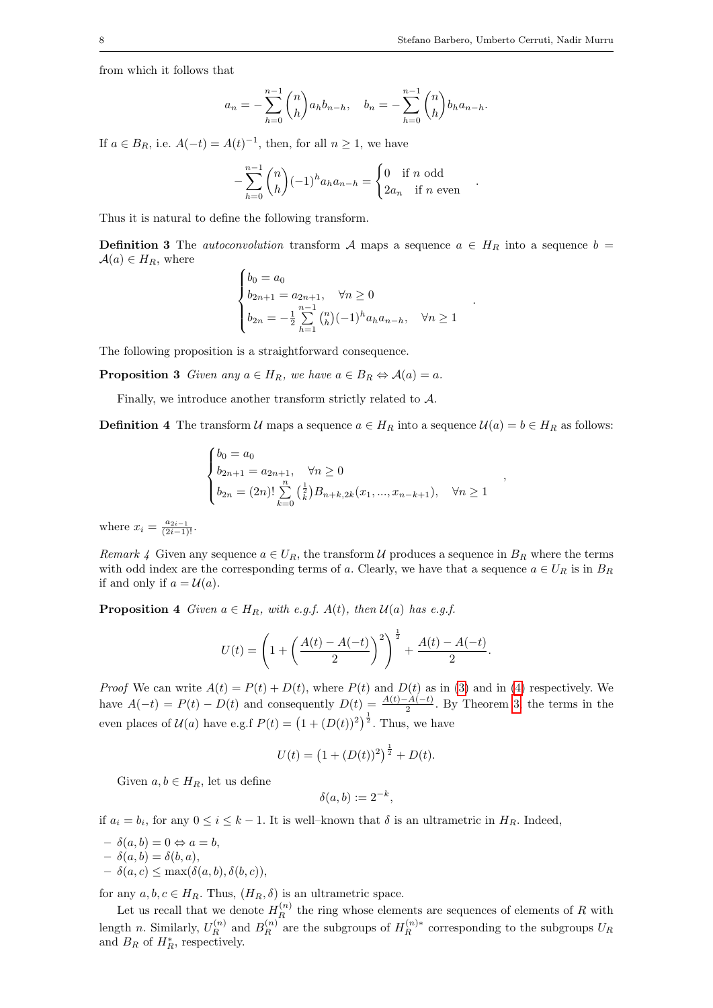.

.

,

from which it follows that

$$
a_n = -\sum_{h=0}^{n-1} {n \choose h} a_h b_{n-h}, \quad b_n = -\sum_{h=0}^{n-1} {n \choose h} b_h a_{n-h}.
$$

If  $a \in B_R$ , i.e.  $A(-t) = A(t)^{-1}$ , then, for all  $n \ge 1$ , we have

$$
-\sum_{h=0}^{n-1} \binom{n}{h} (-1)^h a_h a_{n-h} = \begin{cases} 0 & \text{if } n \text{ odd} \\ 2a_n & \text{if } n \text{ even} \end{cases}
$$

Thus it is natural to define the following transform.

**Definition 3** The autoconvolution transform A maps a sequence  $a \in H_R$  into a sequence  $b =$  $\mathcal{A}(a) \in H_R$ , where

$$
\begin{cases}\nb_0 = a_0 \\
b_{2n+1} = a_{2n+1}, \quad \forall n \ge 0 \\
b_{2n} = -\frac{1}{2} \sum_{h=1}^{n-1} {n \choose h} (-1)^h a_h a_{n-h}, \quad \forall n \ge 1\n\end{cases}
$$

The following proposition is a straightforward consequence.

**Proposition 3** Given any  $a \in H_R$ , we have  $a \in B_R \Leftrightarrow A(a) = a$ .

Finally, we introduce another transform strictly related to  $A$ .

**Definition 4** The transform U maps a sequence  $a \in H_R$  into a sequence  $U(a) = b \in H_R$  as follows:

$$
\begin{cases}\nb_0 = a_0 \\
b_{2n+1} = a_{2n+1}, \quad \forall n \ge 0 \\
b_{2n} = (2n)! \sum_{k=0}^n {\frac{1}{k}} B_{n+k, 2k}(x_1, ..., x_{n-k+1}), \quad \forall n \ge 1\n\end{cases}
$$

where  $x_i = \frac{a_{2i-1}}{(2i-1)!}$ .

Remark 4 Given any sequence  $a \in U_R$ , the transform U produces a sequence in  $B_R$  where the terms with odd index are the corresponding terms of a. Clearly, we have that a sequence  $a \in U_R$  is in  $B_R$ if and only if  $a = U(a)$ .

**Proposition 4** Given  $a \in H_R$ , with e.g.f.  $A(t)$ , then  $U(a)$  has e.g.f.

$$
U(t) = \left(1 + \left(\frac{A(t) - A(-t)}{2}\right)^2\right)^{\frac{1}{2}} + \frac{A(t) - A(-t)}{2}.
$$

*Proof* We can write  $A(t) = P(t) + D(t)$ , where  $P(t)$  and  $D(t)$  as in (3) and in (4) respectively. We have  $A(-t) = P(t) - D(t)$  and consequently  $D(t) = \frac{A(t) - A(-t)}{2}$ . By Theorem 3, the terms in the even places of  $\mathcal{U}(a)$  have e.g.f  $P(t) = (1 + (D(t))^2)^{\frac{1}{2}}$ . Thus, we have

$$
U(t) = (1 + (D(t))^{2})^{\frac{1}{2}} + D(t).
$$

Given  $a, b \in H_R$ , let us define

$$
\delta(a,b) := 2^{-k},
$$

if  $a_i = b_i$ , for any  $0 \le i \le k - 1$ . It is well-known that  $\delta$  is an ultrametric in  $H_R$ . Indeed,

- $-\delta(a, b) = 0 \Leftrightarrow a = b,$
- $\delta(a, b) = \delta(b, a),$
- $\delta(a, c) \leq \max(\delta(a, b), \delta(b, c)),$

for any  $a, b, c \in H_R$ . Thus,  $(H_R, \delta)$  is an ultrametric space.

Let us recall that we denote  $H_R^{(n)}$  the ring whose elements are sequences of elements of R with length n. Similarly,  $U_R^{(n)}$  and  $B_R^{(n)}$  are the subgroups of  $H_R^{(n)*}$  corresponding to the subgroups  $U_R$ and  $B_R$  of  $H_R^*$ , respectively.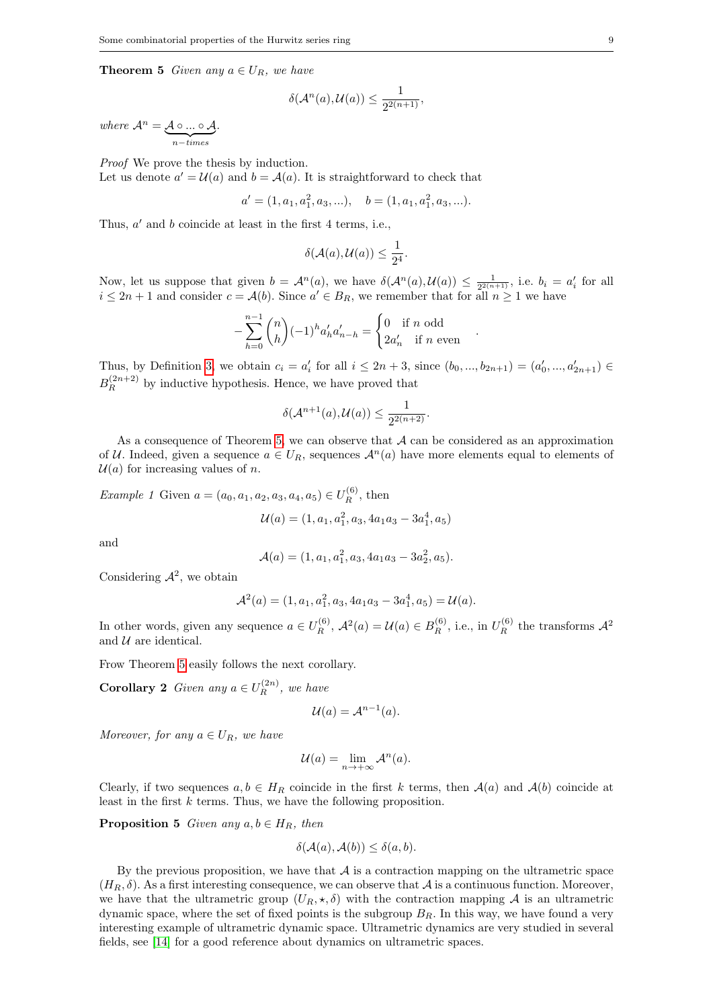**Theorem 5** Given any  $a \in U_R$ , we have

$$
\delta(\mathcal{A}^n(a),\mathcal{U}(a))\leq \frac{1}{2^{2(n+1)}},
$$

where  $\mathcal{A}^n = \mathcal{A} \circ ... \circ \mathcal{A}$  ${n}-times$ .

Proof We prove the thesis by induction.

Let us denote  $a' = \mathcal{U}(a)$  and  $b = \mathcal{A}(a)$ . It is straightforward to check that

$$
a' = (1, a_1, a_1^2, a_3, \ldots), \quad b = (1, a_1, a_1^2, a_3, \ldots).
$$

Thus,  $a'$  and  $b$  coincide at least in the first 4 terms, i.e.,

$$
\delta(\mathcal{A}(a),\mathcal{U}(a))\leq \frac{1}{2^4}.
$$

Now, let us suppose that given  $b = \mathcal{A}^n(a)$ , we have  $\delta(\mathcal{A}^n(a), \mathcal{U}(a)) \leq \frac{1}{2^{2(n+1)}}$ , i.e.  $b_i = a'_i$  for all  $i \leq 2n+1$  and consider  $c = \mathcal{A}(b)$ . Since  $a' \in B_R$ , we remember that for all  $n \geq 1$  we have

.

$$
-\sum_{h=0}^{n-1} \binom{n}{h} (-1)^h a'_h a'_{n-h} = \begin{cases} 0 & \text{if } n \text{ odd} \\ 2a'_n & \text{if } n \text{ even} \end{cases}
$$

Thus, by Definition 3, we obtain  $c_i = a'_i$  for all  $i \leq 2n + 3$ , since  $(b_0, ..., b_{2n+1}) = (a'_0, ..., a'_{2n+1}) \in$  $B_R^{(2n+2)}$  by inductive hypothesis. Hence, we have proved that

$$
\delta(\mathcal{A}^{n+1}(a),\mathcal{U}(a))\leq \frac{1}{2^{2(n+2)}}.
$$

As a consequence of Theorem 5, we can observe that  $A$  can be considered as an approximation of U. Indeed, given a sequence  $a \in U_R$ , sequences  $\mathcal{A}^n(a)$  have more elements equal to elements of  $U(a)$  for increasing values of n.

*Example 1* Given 
$$
a = (a_0, a_1, a_2, a_3, a_4, a_5) \in U_R^{(6)}
$$
, then  
\n
$$
\mathcal{U}(a) = (1, a_1, a_1^2, a_3, 4a_1a_3 - 3a_1^4, a_5)
$$

and

$$
\mathcal{A}(a) = (1, a_1, a_1^2, a_3, 4a_1a_3 - 3a_2^2, a_5).
$$

Considering  $\mathcal{A}^2$ , we obtain

$$
\mathcal{A}^2(a) = (1, a_1, a_1^2, a_3, 4a_1a_3 - 3a_1^4, a_5) = \mathcal{U}(a).
$$

In other words, given any sequence  $a \in U_R^{(6)}$ ,  $\mathcal{A}^2(a) = \mathcal{U}(a) \in B_R^{(6)}$ , i.e., in  $U_R^{(6)}$  the transforms  $\mathcal{A}^2$ and  $U$  are identical.

Frow Theorem 5 easily follows the next corollary.

**Corollary 2** Given any  $a \in U_R^{(2n)}$ , we have

$$
\mathcal{U}(a) = \mathcal{A}^{n-1}(a).
$$

Moreover, for any  $a \in U_R$ , we have

$$
\mathcal{U}(a) = \lim_{n \to +\infty} \mathcal{A}^n(a).
$$

Clearly, if two sequences  $a, b \in H_R$  coincide in the first k terms, then  $A(a)$  and  $A(b)$  coincide at least in the first k terms. Thus, we have the following proposition.

**Proposition 5** Given any  $a, b \in H_R$ , then

$$
\delta(\mathcal{A}(a), \mathcal{A}(b)) \le \delta(a, b).
$$

By the previous proposition, we have that  $A$  is a contraction mapping on the ultrametric space  $(H_R, \delta)$ . As a first interesting consequence, we can observe that A is a continuous function. Moreover, we have that the ultrametric group  $(U_R, \star, \delta)$  with the contraction mapping A is an ultrametric dynamic space, where the set of fixed points is the subgroup  $B_R$ . In this way, we have found a very interesting example of ultrametric dynamic space. Ultrametric dynamics are very studied in several fields, see [14] for a good reference about dynamics on ultrametric spaces.